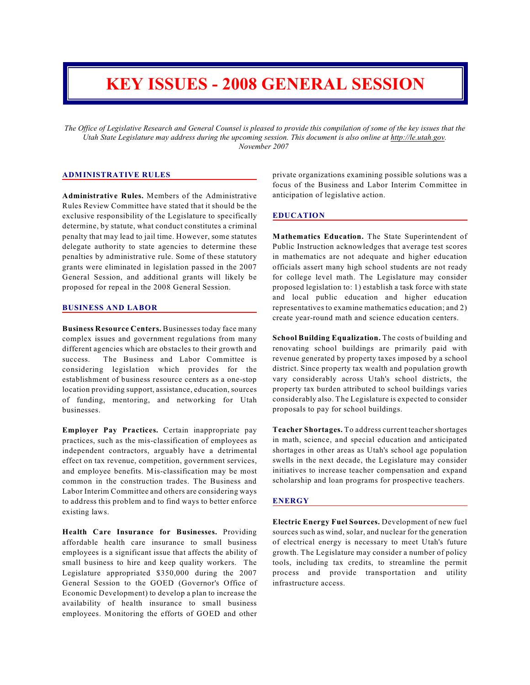# **KEY ISSUES - 2008 GENERAL SESSION**

*The Office of Legislative Research and General Counsel is pleased to provide this compilation of some of the key issues that the Utah State Legislature may address during the upcoming session. This document is also online at http://le.utah.gov. November 2007* 

# **ADMINISTRATIVE RULES**

**Administrative Rules.** Members of the Administrative Rules Review Committee have stated that it should be the exclusive responsibility of the Legislature to specifically determine, by statute, what conduct constitutes a criminal penalty that may lead to jail time. However, some statutes delegate authority to state agencies to determine these penalties by administrative rule. Some of these statutory grants were eliminated in legislation passed in the 2007 General Session, and additional grants will likely be proposed for repeal in the 2008 General Session.

#### **BUSINESS AND LABOR**

**Business Resource Centers.** Businesses today face many complex issues and government regulations from many different agencies which are obstacles to their growth and success. The Business and Labor Committee is considering legislation which provides for the establishment of business resource centers as a one-stop location providing support, assistance, education, sources of funding, mentoring, and networking for Utah businesses.

**Employer Pay Practices.** Certain inappropriate pay practices, such as the mis-classification of employees as independent contractors, arguably have a detrimental effect on tax revenue, competition, government services, and employee benefits. Mis-classification may be most common in the construction trades. The Business and Labor Interim Committee and others are considering ways to address this problem and to find ways to better enforce existing laws.

**Health Care Insurance for Businesses.** Providing affordable health care insurance to small business employees is a significant issue that affects the ability of small business to hire and keep quality workers. The Legislature appropriated \$350,000 during the 2007 General Session to the GOED (Governor's Office of Economic Development) to develop a plan to increase the availability of health insurance to small business employees. Monitoring the efforts of GOED and other

private organizations examining possible solutions was a focus of the Business and Labor Interim Committee in anticipation of legislative action.

## **EDUCATION**

**Mathematics Education.** The State Superintendent of Public Instruction acknowledges that average test scores in mathematics are not adequate and higher education officials assert many high school students are not ready for college level math. The Legislature may consider proposed legislation to: 1) establish a task force with state and local public education and higher education representatives to examine mathematics education; and 2) create year-round math and science education centers.

**School Building Equalization.** The costs of building and renovating school buildings are primarily paid with revenue generated by property taxes imposed by a school district. Since property tax wealth and population growth vary considerably across Utah's school districts, the property tax burden attributed to school buildings varies considerably also. The Legislature is expected to consider proposals to pay for school buildings.

**Teacher Shortages.** To address current teacher shortages in math, science, and special education and anticipated shortages in other areas as Utah's school age population swells in the next decade, the Legislature may consider initiatives to increase teacher compensation and expand scholarship and loan programs for prospective teachers.

#### **ENERGY**

**Electric Energy Fuel Sources.** Development of new fuel sources such as wind, solar, and nuclear for the generation of electrical energy is necessary to meet Utah's future growth. The Legislature may consider a number of policy tools, including tax credits, to streamline the permit process and provide transportation and utility infrastructure access.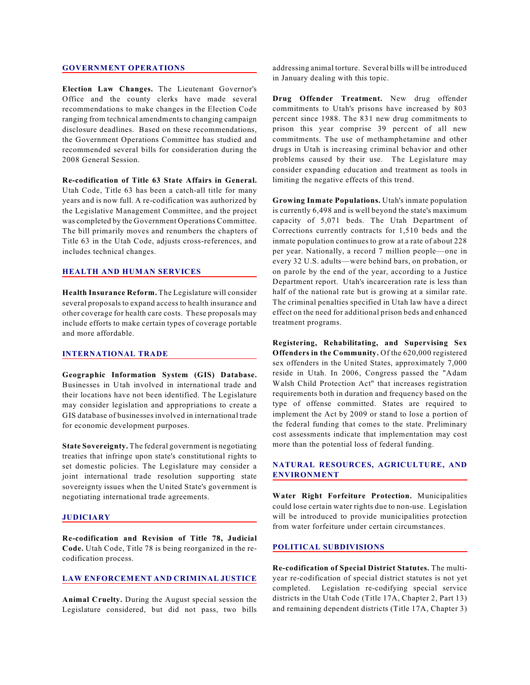#### **GOVERNMENT OPERATIONS**

**Election Law Changes.** The Lieutenant Governor's Office and the county clerks have made several recommendations to make changes in the Election Code ranging from technical amendments to changing campaign disclosure deadlines. Based on these recommendations, the Government Operations Committee has studied and recommended several bills for consideration during the 2008 General Session.

**Re-codification of Title 63 State Affairs in General.** Utah Code, Title 63 has been a catch-all title for many years and is now full. A re-codification was authorized by the Legislative Management Committee, and the project was completed by the Government Operations Committee. The bill primarily moves and renumbers the chapters of Title 63 in the Utah Code, adjusts cross-references, and includes technical changes.

# **HEALTH AND HUMAN SERVICES**

**Health Insurance Reform.** The Legislature will consider several proposals to expand access to health insurance and other coverage for health care costs. These proposals may include efforts to make certain types of coverage portable and more affordable.

#### **INTERNATIONAL TRADE**

**Geographic Information System (GIS) Database.** Businesses in Utah involved in international trade and their locations have not been identified. The Legislature may consider legislation and appropriations to create a GIS database of businesses involved in international trade for economic development purposes.

**State Sovereignty.** The federal government is negotiating treaties that infringe upon state's constitutional rights to set domestic policies. The Legislature may consider a joint international trade resolution supporting state sovereignty issues when the United State's government is negotiating international trade agreements.

#### **JUDICIARY**

**Re-codification and Revision of Title 78, Judicial Code.** Utah Code, Title 78 is being reorganized in the recodification process.

## **LAW ENFORCEMENT AND CRIMINAL JUSTICE**

**Animal Cruelty.** During the August special session the Legislature considered, but did not pass, two bills addressing animal torture. Several bills will be introduced in January dealing with this topic.

**Drug Offender Treatment.** New drug offender commitments to Utah's prisons have increased by 803 percent since 1988. The 831 new drug commitments to prison this year comprise 39 percent of all new commitments. The use of methamphetamine and other drugs in Utah is increasing criminal behavior and other problems caused by their use. The Legislature may consider expanding education and treatment as tools in limiting the negative effects of this trend.

**Growing Inmate Populations.** Utah's inmate population is currently 6,498 and is well beyond the state's maximum capacity of 5,071 beds. The Utah Department of Corrections currently contracts for 1,510 beds and the inmate population continues to grow at a rate of about 228 per year. Nationally, a record 7 million people—one in every 32 U.S. adults—were behind bars, on probation, or on parole by the end of the year, according to a Justice Department report.Utah's incarceration rate is less than half of the national rate but is growing at a similar rate. The criminal penalties specified in Utah law have a direct effect on the need for additional prison beds and enhanced treatment programs.

**Registering, Rehabilitating, and Supervising Sex Offenders in the Community.** Of the 620,000 registered sex offenders in the United States, approximately 7,000 reside in Utah. In 2006, Congress passed the "Adam Walsh Child Protection Act" that increases registration requirements both in duration and frequency based on the type of offense committed. States are required to implement the Act by 2009 or stand to lose a portion of the federal funding that comes to the state. Preliminary cost assessments indicate that implementation may cost more than the potential loss of federal funding.

# **NATURAL RESOURCES, AGRICULTURE, AND ENVIRONMENT**

**Water Right Forfeiture Protection.** Municipalities could lose certain water rights due to non-use. Legislation will be introduced to provide municipalities protection from water forfeiture under certain circumstances.

## **POLITICAL SUBDIVISIONS**

**Re-codification of Special District Statutes.** The multiyear re-codification of special district statutes is not yet completed. Legislation re-codifying special service districts in the Utah Code (Title 17A, Chapter 2, Part 13) and remaining dependent districts (Title 17A, Chapter 3)